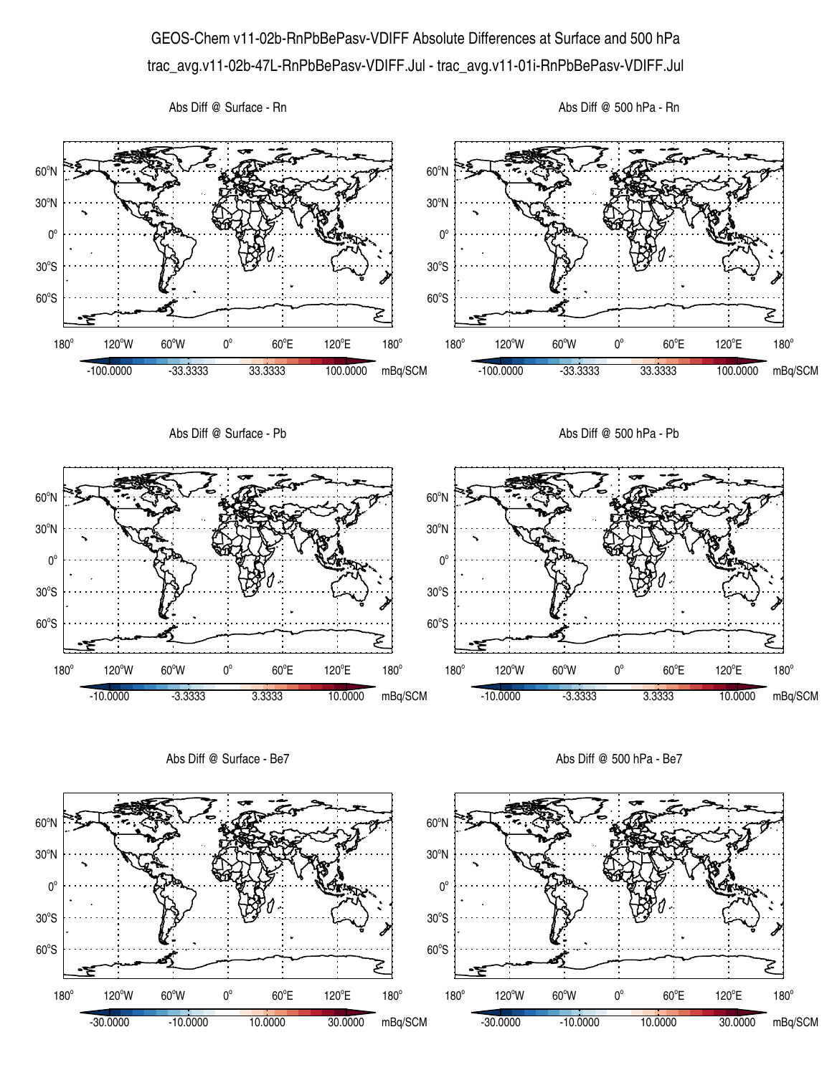## GEOS-Chem v11-02b-RnPbBePasv-VDIFF Absolute Differences at Surface and 500 hPa trac\_avg.v11-02b-47L-RnPbBePasv-VDIFF.Jul - trac\_avg.v11-01i-RnPbBePasv-VDIFF.Jul

Abs Diff @ Surface - Rn





Abs Diff @ Surface - Be7

Abs Diff @ 500 hPa - Be7